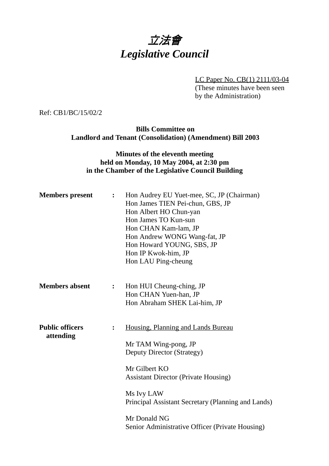## 立法會 *Legislative Council*

LC Paper No. CB(1) 2111/03-04 (These minutes have been seen by the Administration)

Ref: CB1/BC/15/02/2

**Bills Committee on Landlord and Tenant (Consolidation) (Amendment) Bill 2003**

## **Minutes of the eleventh meeting held on Monday, 10 May 2004, at 2:30 pm in the Chamber of the Legislative Council Building**

| <b>Members</b> present              | $\ddot{\bullet}$ | Hon Audrey EU Yuet-mee, SC, JP (Chairman)<br>Hon James TIEN Pei-chun, GBS, JP<br>Hon Albert HO Chun-yan<br>Hon James TO Kun-sun<br>Hon CHAN Kam-lam, JP<br>Hon Andrew WONG Wang-fat, JP<br>Hon Howard YOUNG, SBS, JP<br>Hon IP Kwok-him, JP<br>Hon LAU Ping-cheung                              |
|-------------------------------------|------------------|-------------------------------------------------------------------------------------------------------------------------------------------------------------------------------------------------------------------------------------------------------------------------------------------------|
| <b>Members absent</b>               | $\ddot{\cdot}$   | Hon HUI Cheung-ching, JP<br>Hon CHAN Yuen-han, JP<br>Hon Abraham SHEK Lai-him, JP                                                                                                                                                                                                               |
| <b>Public officers</b><br>attending | $\ddot{\cdot}$   | Housing, Planning and Lands Bureau<br>Mr TAM Wing-pong, JP<br>Deputy Director (Strategy)<br>Mr Gilbert KO<br><b>Assistant Director (Private Housing)</b><br>Ms Ivy LAW<br>Principal Assistant Secretary (Planning and Lands)<br>Mr Donald NG<br>Senior Administrative Officer (Private Housing) |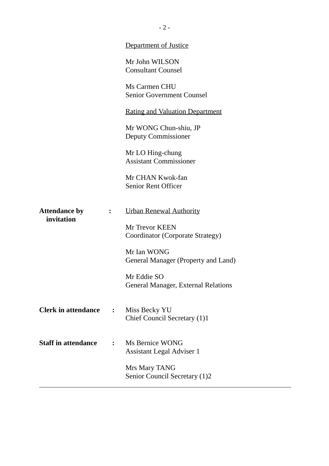|                            |              | <b>Department of Justice</b>                        |
|----------------------------|--------------|-----------------------------------------------------|
|                            |              | Mr John WILSON<br><b>Consultant Counsel</b>         |
|                            |              | Ms Carmen CHU<br><b>Senior Government Counsel</b>   |
|                            |              | <u>Rating and Valuation Department</u>              |
|                            |              | Mr WONG Chun-shiu, JP<br>Deputy Commissioner        |
|                            |              | Mr LO Hing-chung<br><b>Assistant Commissioner</b>   |
|                            |              | Mr CHAN Kwok-fan<br><b>Senior Rent Officer</b>      |
| <b>Attendance by</b>       |              | <b>Urban Renewal Authority</b>                      |
| invitation                 |              | Mr Trevor KEEN<br>Coordinator (Corporate Strategy)  |
|                            |              | Mr Ian WONG<br>General Manager (Property and Land)  |
|                            |              | Mr Eddie SO<br>General Manager, External Relations  |
| <b>Clerk in attendance</b> | $\mathbf{r}$ | Miss Becky YU<br>Chief Council Secretary (1)1       |
| <b>Staff in attendance</b> |              | Ms Bernice WONG<br><b>Assistant Legal Adviser 1</b> |
|                            |              | Mrs Mary TANG<br>Senior Council Secretary (1)2      |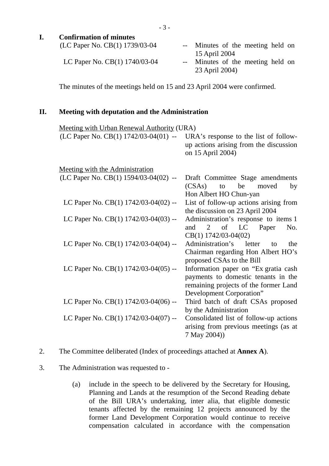- 3 -

| I.  | <b>Confirmation of minutes</b>                                                      |                                                                                                                                                   |
|-----|-------------------------------------------------------------------------------------|---------------------------------------------------------------------------------------------------------------------------------------------------|
|     | (LC Paper No. CB(1) 1739/03-04                                                      | -- Minutes of the meeting held on<br>15 April 2004                                                                                                |
|     | LC Paper No. CB(1) 1740/03-04                                                       | Minutes of the meeting held on<br>$  \,$<br>23 April 2004)                                                                                        |
|     | The minutes of the meetings held on 15 and 23 April 2004 were confirmed.            |                                                                                                                                                   |
| II. | <b>Meeting with deputation and the Administration</b>                               |                                                                                                                                                   |
|     | Meeting with Urban Renewal Authority (URA)<br>(LC Paper No. CB(1) 1742/03-04(01) -- | URA's response to the list of follow-<br>up actions arising from the discussion<br>on 15 April 2004)                                              |
|     | Meeting with the Administration                                                     |                                                                                                                                                   |
|     | (LC Paper No. CB(1) 1594/03-04(02) --                                               | Draft Committee Stage amendments<br>be<br>(CSAs)<br>to<br>moved<br>by<br>Hon Albert HO Chun-yan                                                   |
|     | LC Paper No. CB(1) 1742/03-04(02) --                                                | List of follow-up actions arising from<br>the discussion on 23 April 2004                                                                         |
|     | LC Paper No. CB(1) 1742/03-04(03) --                                                | Administration's response to items 1<br>of<br>LC<br>Paper<br>and<br>2<br>No.<br>$CB(1)$ 1742/03-04(02)                                            |
|     | LC Paper No. CB(1) 1742/03-04(04) --                                                | Administration's<br>letter<br>the<br>to<br>Chairman regarding Hon Albert HO's<br>proposed CSAs to the Bill                                        |
|     | LC Paper No. CB(1) 1742/03-04(05) --                                                | Information paper on "Ex gratia cash"<br>payments to domestic tenants in the<br>remaining projects of the former Land<br>Development Corporation" |
|     | LC Paper No. CB(1) 1742/03-04(06) --                                                | Third batch of draft CSAs proposed<br>by the Administration                                                                                       |
|     | LC Paper No. CB(1) 1742/03-04(07) --                                                | Consolidated list of follow-up actions<br>arising from previous meetings (as at<br>7 May 2004))                                                   |

2. The Committee deliberated (Index of proceedings attached at **Annex A**).

## 3. The Administration was requested to -

(a) include in the speech to be delivered by the Secretary for Housing, Planning and Lands at the resumption of the Second Reading debate of the Bill URA's undertaking, inter alia, that eligible domestic tenants affected by the remaining 12 projects announced by the former Land Development Corporation would continue to receive compensation calculated in accordance with the compensation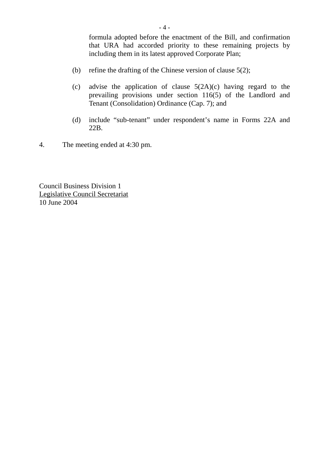formula adopted before the enactment of the Bill, and confirmation that URA had accorded priority to these remaining projects by including them in its latest approved Corporate Plan;

- (b) refine the drafting of the Chinese version of clause 5(2);
- (c) advise the application of clause 5(2A)(c) having regard to the prevailing provisions under section 116(5) of the Landlord and Tenant (Consolidation) Ordinance (Cap. 7); and
- (d) include "sub-tenant" under respondent's name in Forms 22A and 22B.
- 4. The meeting ended at 4:30 pm.

Council Business Division 1 Legislative Council Secretariat 10 June 2004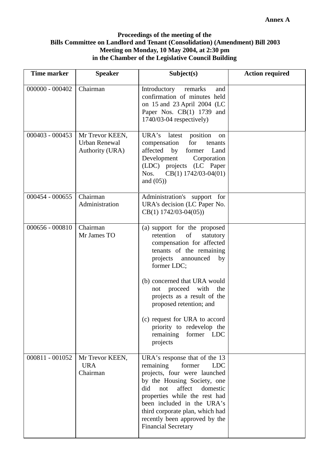## **Proceedings of the meeting of the Bills Committee on Landlord and Tenant (Consolidation) (Amendment) Bill 2003 Meeting on Monday, 10 May 2004, at 2:30 pm in the Chamber of the Legislative Council Building**

| <b>Time marker</b> | <b>Speaker</b>                                      | Subject(s)                                                                                                                                                                                                                                                                                                                             | <b>Action required</b> |
|--------------------|-----------------------------------------------------|----------------------------------------------------------------------------------------------------------------------------------------------------------------------------------------------------------------------------------------------------------------------------------------------------------------------------------------|------------------------|
| $000000 - 000402$  | Chairman                                            | Introductory<br>remarks<br>and<br>confirmation of minutes held<br>on 15 and 23 April 2004 (LC<br>Paper Nos. CB(1) 1739 and<br>$1740/03-04$ respectively)                                                                                                                                                                               |                        |
| 000403 - 000453    | Mr Trevor KEEN,<br>Urban Renewal<br>Authority (URA) | URA's latest<br>position<br>on<br>compensation<br>for<br>tenants<br>affected by<br>former<br>Land<br>Development<br>Corporation<br>(LDC) projects (LC Paper<br>CB(1) 1742/03-04(01)<br>Nos.<br>and $(05)$ )                                                                                                                            |                        |
| 000454 - 000655    | Chairman<br>Administration                          | Administration's support for<br>URA's decision (LC Paper No.<br>$CB(1)$ 1742/03-04(05))                                                                                                                                                                                                                                                |                        |
| 000656 - 000810    | Chairman<br>Mr James TO                             | (a) support for the proposed<br>retention<br>of<br>statutory<br>compensation for affected<br>tenants of the remaining<br>projects<br>announced<br>by<br>former LDC;<br>(b) concerned that URA would<br>not proceed with<br>the<br>projects as a result of the<br>proposed retention; and                                               |                        |
|                    |                                                     | (c) request for URA to accord<br>priority to redevelop the<br>remaining<br>former LDC<br>projects                                                                                                                                                                                                                                      |                        |
| 000811 - 001052    | Mr Trevor KEEN,<br><b>URA</b><br>Chairman           | URA's response that of the 13<br>remaining<br>former<br><b>LDC</b><br>projects, four were launched<br>by the Housing Society, one<br>affect<br>did<br>not<br>domestic<br>properties while the rest had<br>been included in the URA's<br>third corporate plan, which had<br>recently been approved by the<br><b>Financial Secretary</b> |                        |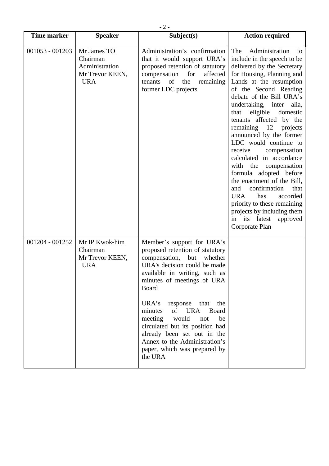| <b>Time marker</b> | <b>Speaker</b>                                                             | Subject(s)                                                                                                                                                                                                                                                                                                                                                                                                                                       | <b>Action required</b>                                                                                                                                                                                                                                                                                                                                                                                                                                                                                                                                                                                                                                                                        |
|--------------------|----------------------------------------------------------------------------|--------------------------------------------------------------------------------------------------------------------------------------------------------------------------------------------------------------------------------------------------------------------------------------------------------------------------------------------------------------------------------------------------------------------------------------------------|-----------------------------------------------------------------------------------------------------------------------------------------------------------------------------------------------------------------------------------------------------------------------------------------------------------------------------------------------------------------------------------------------------------------------------------------------------------------------------------------------------------------------------------------------------------------------------------------------------------------------------------------------------------------------------------------------|
| $001053 - 001203$  | Mr James TO<br>Chairman<br>Administration<br>Mr Trevor KEEN,<br><b>URA</b> | Administration's confirmation<br>that it would support URA's<br>proposed retention of statutory<br>compensation for<br>affected<br>tenants<br>of the<br>remaining<br>former LDC projects                                                                                                                                                                                                                                                         | Administration<br>The<br>to<br>include in the speech to be<br>delivered by the Secretary<br>for Housing, Planning and<br>Lands at the resumption<br>of the Second Reading<br>debate of the Bill URA's<br>undertaking, inter alia,<br>that<br>eligible<br>domestic<br>tenants affected by the<br>remaining 12 projects<br>announced by the former<br>LDC would continue to<br>receive<br>compensation<br>calculated in accordance<br>with the compensation<br>formula adopted before<br>the enactment of the Bill,<br>confirmation<br>that<br>and<br><b>URA</b><br>accorded<br>has<br>priority to these remaining<br>projects by including them<br>in its latest<br>approved<br>Corporate Plan |
| 001204 - 001252    | Mr IP Kwok-him<br>Chairman<br>Mr Trevor KEEN,<br><b>URA</b>                | Member's support for URA's<br>proposed retention of statutory<br>compensation, but<br>whether<br>URA's decision could be made<br>available in writing, such as<br>minutes of meetings of URA<br>Board<br>URA's<br>response that the<br>of URA<br>minutes<br>Board<br>meeting<br>would<br>not<br>be<br>circulated but its position had<br>already been set out in the<br>Annex to the Administration's<br>paper, which was prepared by<br>the URA |                                                                                                                                                                                                                                                                                                                                                                                                                                                                                                                                                                                                                                                                                               |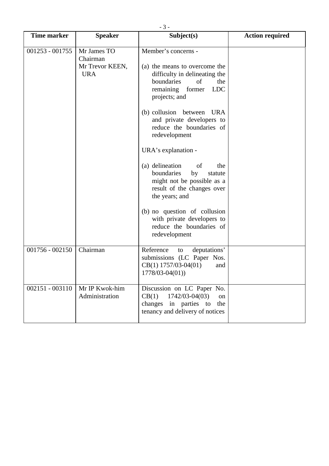| <b>Time marker</b> | <b>Speaker</b>                                           | Subject(s)                                                                                                                                                                                                                                                                                                                                                                                                                                                                                                                                                   | <b>Action required</b> |
|--------------------|----------------------------------------------------------|--------------------------------------------------------------------------------------------------------------------------------------------------------------------------------------------------------------------------------------------------------------------------------------------------------------------------------------------------------------------------------------------------------------------------------------------------------------------------------------------------------------------------------------------------------------|------------------------|
| $001253 - 001755$  | Mr James TO<br>Chairman<br>Mr Trevor KEEN,<br><b>URA</b> | Member's concerns -<br>(a) the means to overcome the<br>difficulty in delineating the<br>boundaries<br>of<br>the<br><b>LDC</b><br>remaining former<br>projects; and<br>(b) collusion between<br>URA<br>and private developers to<br>reduce the boundaries of<br>redevelopment<br>URA's explanation -<br>(a) delineation<br>of<br>the<br>boundaries<br>by<br>statute<br>might not be possible as a<br>result of the changes over<br>the years; and<br>(b) no question of collusion<br>with private developers to<br>reduce the boundaries of<br>redevelopment |                        |
| $001756 - 002150$  | Chairman                                                 | Reference<br>deputations'<br>to<br>submissions (LC Paper Nos.<br>$CB(1)$ 1757/03-04(01)<br>and<br>$1778/03 - 04(01)$                                                                                                                                                                                                                                                                                                                                                                                                                                         |                        |
| $002151 - 003110$  | Mr IP Kwok-him<br>Administration                         | Discussion on LC Paper No.<br>$1742/03 - 04(03)$<br>CB(1)<br>on<br>changes in parties to<br>the<br>tenancy and delivery of notices                                                                                                                                                                                                                                                                                                                                                                                                                           |                        |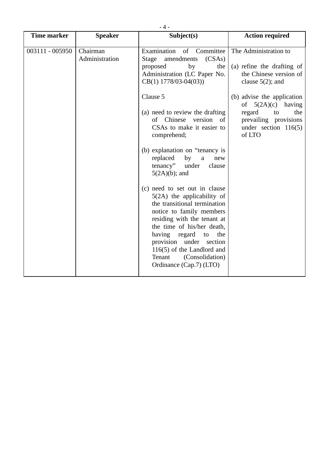| $-4-$              |                            |                                                                                                                                                                                                                                                                                                                                                                                                                                                                                                                                                           |                                                                                                                                        |
|--------------------|----------------------------|-----------------------------------------------------------------------------------------------------------------------------------------------------------------------------------------------------------------------------------------------------------------------------------------------------------------------------------------------------------------------------------------------------------------------------------------------------------------------------------------------------------------------------------------------------------|----------------------------------------------------------------------------------------------------------------------------------------|
| <b>Time marker</b> | <b>Speaker</b>             | Subject(s)                                                                                                                                                                                                                                                                                                                                                                                                                                                                                                                                                | <b>Action required</b>                                                                                                                 |
| 003111 - 005950    | Chairman<br>Administration | Examination<br>of Committee<br>(CSAs)<br>Stage<br>amendments<br>proposed<br>by<br>the<br>Administration (LC Paper No.<br>$CB(1)$ 1778/03-04(03))                                                                                                                                                                                                                                                                                                                                                                                                          | The Administration to<br>(a) refine the drafting of<br>the Chinese version of<br>clause $5(2)$ ; and                                   |
|                    |                            | Clause 5<br>(a) need to review the drafting<br>of Chinese<br>version of<br>CSAs to make it easier to<br>comprehend;<br>(b) explanation on "tenancy is<br>replaced<br>by<br>a<br>new<br>tenancy"<br>under<br>clause<br>$5(2A)(b)$ ; and<br>(c) need to set out in clause<br>$5(2A)$ the applicability of<br>the transitional termination<br>notice to family members<br>residing with the tenant at<br>the time of his/her death,<br>having<br>regard<br>the<br>to<br>provision under section<br>$116(5)$ of the Landlord and<br>(Consolidation)<br>Tenant | (b) advise the application<br>of $5(2A)(c)$ having<br>regard<br>the<br>to<br>prevailing provisions<br>under section $116(5)$<br>of LTO |
|                    |                            | Ordinance (Cap.7) (LTO)                                                                                                                                                                                                                                                                                                                                                                                                                                                                                                                                   |                                                                                                                                        |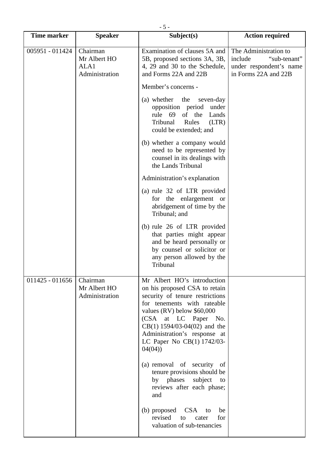| $-5-$              |                                                    |                                                                                                                                                                                                                                                                                                                              |                                                                                                     |
|--------------------|----------------------------------------------------|------------------------------------------------------------------------------------------------------------------------------------------------------------------------------------------------------------------------------------------------------------------------------------------------------------------------------|-----------------------------------------------------------------------------------------------------|
| <b>Time marker</b> | <b>Speaker</b>                                     | Subject(s)                                                                                                                                                                                                                                                                                                                   | <b>Action required</b>                                                                              |
| 005951 - 011424    | Chairman<br>Mr Albert HO<br>ALA1<br>Administration | Examination of clauses 5A and<br>5B, proposed sections 3A, 3B,<br>4, 29 and 30 to the Schedule,<br>and Forms 22A and 22B                                                                                                                                                                                                     | The Administration to<br>"sub-tenant"<br>include<br>under respondent's name<br>in Forms 22A and 22B |
|                    |                                                    | Member's concerns -                                                                                                                                                                                                                                                                                                          |                                                                                                     |
|                    |                                                    | (a) whether<br>the<br>seven-day<br>opposition period<br>under<br>rule 69 of the<br>Lands<br>Tribunal<br>Rules<br>(LTR)<br>could be extended; and                                                                                                                                                                             |                                                                                                     |
|                    |                                                    | (b) whether a company would<br>need to be represented by<br>counsel in its dealings with<br>the Lands Tribunal                                                                                                                                                                                                               |                                                                                                     |
|                    |                                                    | Administration's explanation                                                                                                                                                                                                                                                                                                 |                                                                                                     |
|                    |                                                    | (a) rule 32 of LTR provided<br>for the enlargement or<br>abridgement of time by the<br>Tribunal; and                                                                                                                                                                                                                         |                                                                                                     |
|                    |                                                    | (b) rule 26 of LTR provided<br>that parties might appear<br>and be heard personally or<br>by counsel or solicitor or<br>any person allowed by the<br>Tribunal                                                                                                                                                                |                                                                                                     |
| $011425 - 011656$  | Chairman<br>Mr Albert HO<br>Administration         | Mr Albert HO's introduction<br>on his proposed CSA to retain<br>security of tenure restrictions<br>for tenements with rateable<br>values (RV) below \$60,000<br>(CSA at LC Paper No.<br>$CB(1) 1594/03-04(02)$ and the<br>Administration's response at<br>LC Paper No CB(1) 1742/03-<br>04(04)<br>(a) removal of security of |                                                                                                     |
|                    |                                                    | tenure provisions should be<br>by phases<br>subject<br>to<br>reviews after each phase;<br>and                                                                                                                                                                                                                                |                                                                                                     |
|                    |                                                    | (b) proposed CSA to<br>be<br>revised<br>for<br>to<br>cater<br>valuation of sub-tenancies                                                                                                                                                                                                                                     |                                                                                                     |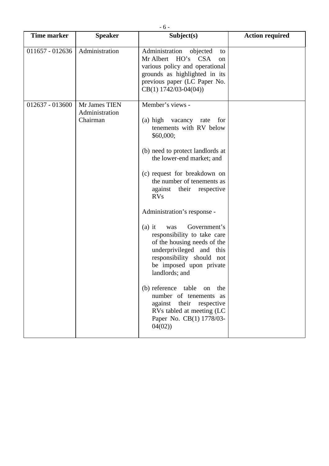| <b>Time marker</b> | <b>Speaker</b>                              | Subject(s)                                                                                                                                                                                                                                                                                                                                                                                                                                                                                                                                                                                                                                                           | <b>Action required</b> |
|--------------------|---------------------------------------------|----------------------------------------------------------------------------------------------------------------------------------------------------------------------------------------------------------------------------------------------------------------------------------------------------------------------------------------------------------------------------------------------------------------------------------------------------------------------------------------------------------------------------------------------------------------------------------------------------------------------------------------------------------------------|------------------------|
|                    |                                             |                                                                                                                                                                                                                                                                                                                                                                                                                                                                                                                                                                                                                                                                      |                        |
| 011657 - 012636    | Administration                              | Administration<br>objected<br>to<br>Mr Albert HO's CSA<br>on<br>various policy and operational<br>grounds as highlighted in its<br>previous paper (LC Paper No.<br>$CB(1) 1742/03-04(04))$                                                                                                                                                                                                                                                                                                                                                                                                                                                                           |                        |
| 012637 - 013600    | Mr James TIEN<br>Administration<br>Chairman | Member's views -<br>(a) high vacancy rate<br>for<br>tenements with RV below<br>\$60,000;<br>(b) need to protect landlords at<br>the lower-end market; and<br>(c) request for breakdown on<br>the number of tenements as<br>against their respective<br><b>RVs</b><br>Administration's response -<br>Government's<br>$(a)$ it<br>was<br>responsibility to take care<br>of the housing needs of the<br>underprivileged and this<br>responsibility should not<br>be imposed upon private<br>landlords; and<br>(b) reference table<br>on<br>the<br>number of tenements as<br>against their respective<br>RVs tabled at meeting (LC<br>Paper No. CB(1) 1778/03-<br>04(02) |                        |
|                    |                                             |                                                                                                                                                                                                                                                                                                                                                                                                                                                                                                                                                                                                                                                                      |                        |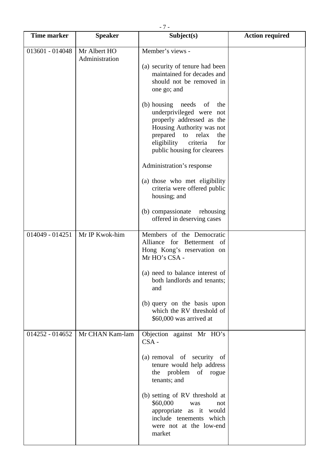| $-7-$              |                                |                                                                                                                                                                                                             |                        |
|--------------------|--------------------------------|-------------------------------------------------------------------------------------------------------------------------------------------------------------------------------------------------------------|------------------------|
| <b>Time marker</b> | <b>Speaker</b>                 | Subject(s)                                                                                                                                                                                                  | <b>Action required</b> |
| 013601 - 014048    | Mr Albert HO<br>Administration | Member's views -<br>(a) security of tenure had been<br>maintained for decades and<br>should not be removed in<br>one go; and                                                                                |                        |
|                    |                                | (b) housing needs of<br>the<br>underprivileged were not<br>properly addressed as the<br>Housing Authority was not<br>prepared to relax<br>the<br>eligibility criteria<br>for<br>public housing for clearees |                        |
|                    |                                | Administration's response                                                                                                                                                                                   |                        |
|                    |                                | (a) those who met eligibility<br>criteria were offered public<br>housing; and                                                                                                                               |                        |
|                    |                                | (b) compassionate rehousing<br>offered in deserving cases                                                                                                                                                   |                        |
| $014049 - 014251$  | Mr IP Kwok-him                 | Members of the Democratic<br>Alliance for Betterment of<br>Hong Kong's reservation on<br>Mr HO's CSA -                                                                                                      |                        |
|                    |                                | (a) need to balance interest of<br>both landlords and tenants;<br>and                                                                                                                                       |                        |
|                    |                                | (b) query on the basis upon<br>which the RV threshold of<br>\$60,000 was arrived at                                                                                                                         |                        |
| $014252 - 014652$  | Mr CHAN Kam-lam                | Objection against Mr HO's<br>$CSA -$                                                                                                                                                                        |                        |
|                    |                                | (a) removal of security of<br>tenure would help address<br>the problem of rogue<br>tenants; and                                                                                                             |                        |
|                    |                                | (b) setting of RV threshold at<br>\$60,000<br>was<br>not<br>appropriate as it would<br>include tenements which<br>were not at the low-end<br>market                                                         |                        |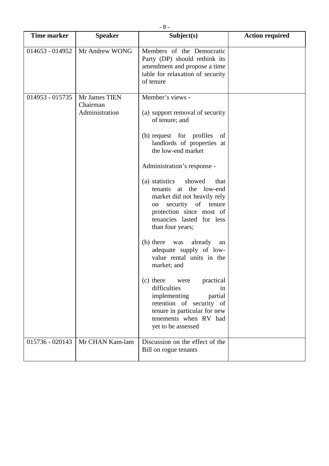| <b>Time marker</b> | <b>Speaker</b>                              | Subject(s)                                                                                                                                                                                                                                                                                                                                                                                                                                                                                                                                                                                                                                                                                                 | <b>Action required</b> |
|--------------------|---------------------------------------------|------------------------------------------------------------------------------------------------------------------------------------------------------------------------------------------------------------------------------------------------------------------------------------------------------------------------------------------------------------------------------------------------------------------------------------------------------------------------------------------------------------------------------------------------------------------------------------------------------------------------------------------------------------------------------------------------------------|------------------------|
| 014653 - 014952    | Mr Andrew WONG                              | Members of the Democratic<br>Party (DP) should rethink its<br>amendment and propose a time<br>table for relaxation of security<br>of tenure                                                                                                                                                                                                                                                                                                                                                                                                                                                                                                                                                                |                        |
| 014953 - 015735    | Mr James TIEN<br>Chairman<br>Administration | Member's views -<br>(a) support removal of security<br>of tenure; and<br>(b) request for profiles<br>of<br>landlords of properties at<br>the low-end market<br>Administration's response -<br>(a) statistics<br>showed<br>that<br>at the low-end<br>tenants<br>market did not heavily rely<br>security of tenure<br>on<br>protection since most of<br>tenancies lasted for less<br>than four years;<br>(b) there was<br>already<br>an<br>adequate supply of low-<br>value rental units in the<br>market; and<br>(c) there<br>practical<br>were<br>difficulties<br>in<br>implementing<br>partial<br>retention of security of<br>tenure in particular for new<br>tenements when RV had<br>yet to be assessed |                        |
| 015736 - 020143    | Mr CHAN Kam-lam                             | Discussion on the effect of the<br>Bill on rogue tenants                                                                                                                                                                                                                                                                                                                                                                                                                                                                                                                                                                                                                                                   |                        |